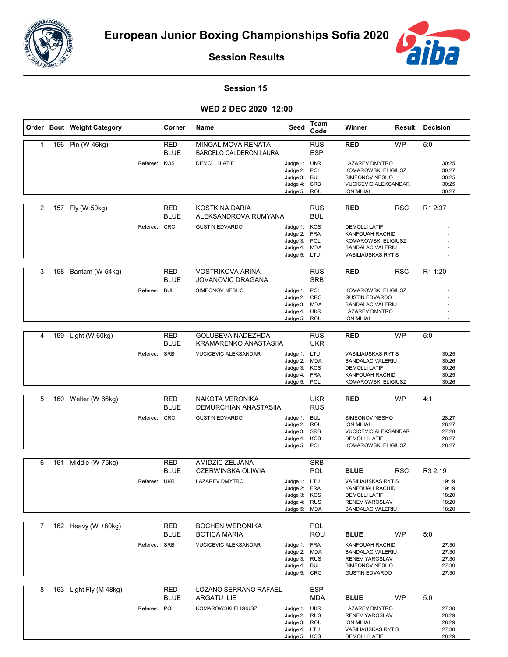



**Session Results**

## **Session 15**

## **WED 2 DEC 2020 12:00**

|                |     | Order Bout Weight Category |              | Corner             | Name                                                       | Seed                         | Team<br>Code             | Winner                                               |            | <b>Result Decision</b> |
|----------------|-----|----------------------------|--------------|--------------------|------------------------------------------------------------|------------------------------|--------------------------|------------------------------------------------------|------------|------------------------|
| 1              |     | 156 Pin (W 46kg)           |              | RED<br><b>BLUE</b> | <b>MINGALIMOVA RENATA</b><br><b>BARCELO CALDERON LAURA</b> |                              | <b>RUS</b><br><b>ESP</b> | <b>RED</b>                                           | <b>WP</b>  | 5:0                    |
|                |     |                            | Referee: KOS |                    | <b>DEMOLLI LATIF</b>                                       | Judge 1: UKR                 |                          | <b>LAZAREV DMYTRO</b>                                |            | 30:25                  |
|                |     |                            |              |                    |                                                            | Judge 2:<br>Judge 3:         | POL<br><b>BUL</b>        | KOMAROWSKI ELIGIUSZ<br>SIMEONOV NESHO                |            | 30:27<br>30:25         |
|                |     |                            |              |                    |                                                            | Judge 4: SRB                 |                          | <b>VUCICEVIC ALEKSANDAR</b>                          |            | 30:25                  |
|                |     |                            |              |                    |                                                            | Judge 5: ROU                 |                          | <b>ION MIHAI</b>                                     |            | 30:27                  |
| $\overline{2}$ |     | 157 Fly (W 50kg)           |              | <b>RED</b>         | <b>KOSTKINA DARIA</b>                                      |                              | <b>RUS</b>               | <b>RED</b>                                           | <b>RSC</b> | R1 2:37                |
|                |     |                            |              | BLUE               | ALEKSANDROVA RUMYANA                                       |                              | <b>BUL</b>               |                                                      |            |                        |
|                |     |                            | Referee: CRO |                    | <b>GUSTIN EDVARDO</b>                                      | Judge 1: KOS                 |                          | <b>DEMOLLI LATIF</b>                                 |            |                        |
|                |     |                            |              |                    |                                                            | Judge 2: FRA<br>Judge 3: POL |                          | KANFOUAH RACHID<br>KOMAROWSKI ELIGIUSZ               |            |                        |
|                |     |                            |              |                    |                                                            | Judge 4: MDA                 |                          | <b>BANDALAC VALERIU</b>                              |            |                        |
|                |     |                            |              |                    |                                                            | Judge 5: LTU                 |                          | <b>VASILIAUSKAS RYTIS</b>                            |            |                        |
| 3              |     | 158 Bantam (W 54kg)        |              | RED<br><b>BLUE</b> | <b>VOSTRIKOVA ARINA</b><br><b>JOVANOVIC DRAGANA</b>        |                              | <b>RUS</b><br><b>SRB</b> | <b>RED</b>                                           | <b>RSC</b> | R <sub>1</sub> 1:20    |
|                |     |                            | Referee: BUL |                    | SIMEONOV NESHO                                             | Judge 1: POL                 |                          | KOMAROWSKI ELIGIUSZ                                  |            |                        |
|                |     |                            |              |                    |                                                            | Judge 2: CRO                 |                          | <b>GUSTIN EDVARDO</b><br><b>BANDALAC VALERIU</b>     |            |                        |
|                |     |                            |              |                    |                                                            | Judge 3: MDA<br>Judge 4: UKR |                          | <b>LAZAREV DMYTRO</b>                                |            |                        |
|                |     |                            |              |                    |                                                            | Judge 5: ROU                 |                          | ION MIHAI                                            |            |                        |
| 4              | 159 | Light (W 60kg)             |              | RED                | GOLUBEVA NADEZHDA                                          |                              | <b>RUS</b>               | RED                                                  | <b>WP</b>  | 5:0                    |
|                |     |                            |              | <b>BLUE</b>        | KRAMARENKO ANASTASIIA                                      |                              | <b>UKR</b>               |                                                      |            |                        |
|                |     |                            | Referee: SRB |                    | <b>VUCICEVIC ALEKSANDAR</b>                                | Judge 1: LTU<br>Judge 2:     | <b>MDA</b>               | <b>VASILIAUSKAS RYTIS</b><br><b>BANDALAC VALERIU</b> |            | 30:25<br>30:26         |
|                |     |                            |              |                    |                                                            | Judge 3: KOS                 |                          | <b>DEMOLLI LATIF</b>                                 |            | 30:26                  |
|                |     |                            |              |                    |                                                            | Judge 4: FRA<br>Judge 5: POL |                          | <b>KANFOUAH RACHID</b><br>KOMAROWSKI ELIGIUSZ        |            | 30:25<br>30:26         |
|                |     |                            |              |                    |                                                            |                              |                          |                                                      |            |                        |
| 5              |     | 160 Welter (W 66kg)        |              | RED<br><b>BLUE</b> | <b>NAKOTA VERONIKA</b><br>DEMURCHIAN ANASTASIIA            |                              | <b>UKR</b><br><b>RUS</b> | <b>RED</b>                                           | <b>WP</b>  | 4:1                    |
|                |     |                            | Referee: CRO |                    | <b>GUSTIN EDVARDO</b>                                      | Judge 1: BUL                 |                          | SIMEONOV NESHO                                       |            | 28:27                  |
|                |     |                            |              |                    |                                                            | Judge 2: ROU<br>Judge 3: SRB |                          | <b>ION MIHAI</b><br><b>VUCICEVIC ALEKSANDAR</b>      |            | 28:27<br>27:28         |
|                |     |                            |              |                    |                                                            | Judge 4:                     | KOS                      | <b>DEMOLLI LATIF</b>                                 |            | 28:27                  |
|                |     |                            |              |                    |                                                            | Judge 5: POL                 |                          | KOMAROWSKI ELIGIUSZ                                  |            | 28:27                  |
| 6              | 161 | Middle (W 75kg)            |              | <b>RED</b>         | AMIDZIC ZELJANA                                            |                              | <b>SRB</b>               |                                                      |            |                        |
|                |     |                            |              | BLUE               | CZERWINSKA OLIWIA                                          |                              | <b>POL</b>               | <b>BLUE</b>                                          | <b>RSC</b> | R3 2:19                |
|                |     |                            | Referee: UKR |                    | LAZAREV DMYTRO                                             | Judge 1: LTU                 |                          | <b>VASILIAUSKAS RYTIS</b>                            |            | 19:19                  |
|                |     |                            |              |                    |                                                            | Judge 2: FRA<br>Judge 3: KOS |                          | KANFOUAH RACHID<br><b>DEMOLLI LATIF</b>              |            | 19:19<br>18:20         |
|                |     |                            |              |                    |                                                            | Judge 4: RUS                 |                          | <b>RENEV YAROSLAV</b>                                |            | 18:20                  |
|                |     |                            |              |                    |                                                            | Judge 5: MDA                 |                          | <b>BANDALAC VALERIU</b>                              |            | 18:20                  |
| $\mathbf{7}$   |     | 162 Heavy (W +80kg)        |              | <b>RED</b>         | <b>BOCHEN WERONIKA</b>                                     |                              | <b>POL</b>               |                                                      |            |                        |
|                |     |                            |              | <b>BLUE</b>        | <b>BOTICA MARIA</b>                                        |                              | <b>ROU</b>               | <b>BLUE</b>                                          | <b>WP</b>  | 5:0                    |
|                |     |                            | Referee: SRB |                    | <b>VUCICEVIC ALEKSANDAR</b>                                | Judge 1: FRA                 |                          | KANFOUAH RACHID                                      |            | 27:30                  |
|                |     |                            |              |                    |                                                            | Judge 2: MDA                 |                          | <b>BANDALAC VALERIU</b>                              |            | 27:30                  |
|                |     |                            |              |                    |                                                            | Judge 3: RUS<br>Judge 4: BUL |                          | RENEV YAROSLAV<br>SIMEONOV NESHO                     |            | 27:30<br>27:30         |
|                |     |                            |              |                    |                                                            | Judge 5: CRO                 |                          | <b>GUSTIN EDVARDO</b>                                |            | 27:30                  |
| 8              |     | 163 Light Fly (M 48kg)     |              | <b>RED</b>         | LOZANO SERRANO RAFAEL                                      |                              | <b>ESP</b>               |                                                      |            |                        |
|                |     |                            |              | BLUE               | ARGATU ILIE                                                |                              | <b>MDA</b>               | <b>BLUE</b>                                          | WP         | 5:0                    |
|                |     |                            | Referee: POL |                    | KOMAROWSKI ELIGIUSZ                                        | Judge 1: UKR                 |                          | LAZAREV DMYTRO                                       |            | 27:30                  |
|                |     |                            |              |                    |                                                            | Judge 2: RUS                 |                          | RENEV YAROSLAV                                       |            | 28:29                  |
|                |     |                            |              |                    |                                                            | Judge 3: ROU                 |                          | <b>ION MIHAI</b>                                     |            | 28:29                  |
|                |     |                            |              |                    |                                                            | Judge 4: LTU<br>Judge 5: KOS |                          | <b>VASILIAUSKAS RYTIS</b><br><b>DEMOLLI LATIF</b>    |            | 27:30<br>28:29         |